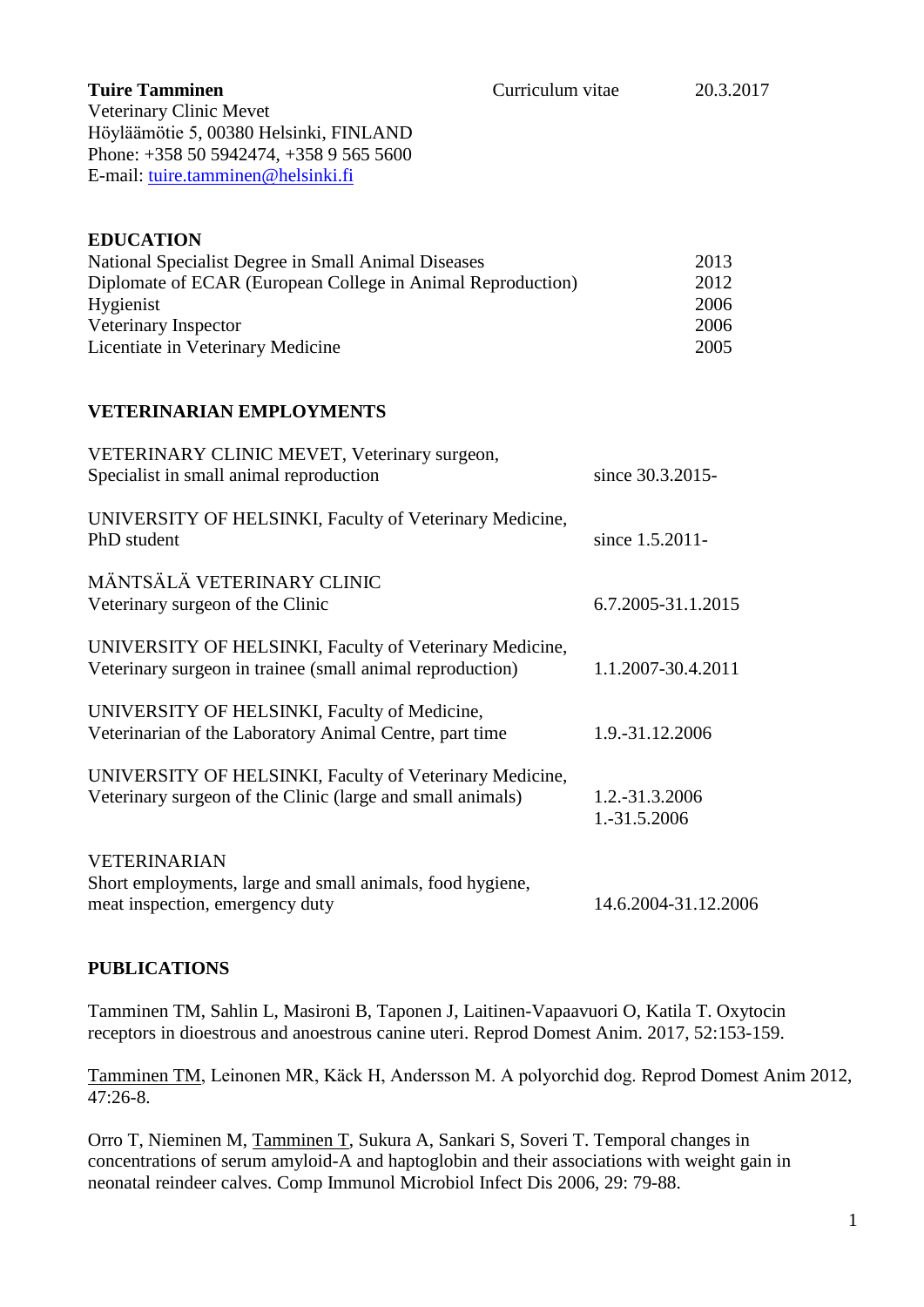Veterinary Clinic Mevet Höyläämötie 5, 00380 Helsinki, FINLAND Phone: +358 50 5942474, +358 9 565 5600 E-mail: [tuire.tamminen@helsinki.fi](mailto:tuire.tamminen@helsinki.fi)

## **EDUCATION**

| National Specialist Degree in Small Animal Diseases         | 2013 |
|-------------------------------------------------------------|------|
| Diplomate of ECAR (European College in Animal Reproduction) | 2012 |
| <b>Hygienist</b>                                            | 2006 |
| Veterinary Inspector                                        | 2006 |
| Licentiate in Veterinary Medicine                           | 2005 |

# **VETERINARIAN EMPLOYMENTS**

| VETERINARY CLINIC MEVET, Veterinary surgeon,                                                                          |                                |
|-----------------------------------------------------------------------------------------------------------------------|--------------------------------|
| Specialist in small animal reproduction                                                                               | since 30.3.2015-               |
| UNIVERSITY OF HELSINKI, Faculty of Veterinary Medicine,<br>PhD student                                                | since 1.5.2011-                |
| MÄNTSÄLÄ VETERINARY CLINIC<br>Veterinary surgeon of the Clinic                                                        | 6.7.2005-31.1.2015             |
| UNIVERSITY OF HELSINKI, Faculty of Veterinary Medicine,<br>Veterinary surgeon in trainee (small animal reproduction)  | 1.1.2007-30.4.2011             |
| UNIVERSITY OF HELSINKI, Faculty of Medicine,<br>Veterinarian of the Laboratory Animal Centre, part time               | 1.9.-31.12.2006                |
| UNIVERSITY OF HELSINKI, Faculty of Veterinary Medicine,<br>Veterinary surgeon of the Clinic (large and small animals) | 1.2.-31.3.2006<br>1.-31.5.2006 |
| <b>VETERINARIAN</b><br>Short employments, large and small animals, food hygiene,<br>meat inspection, emergency duty   | 14.6.2004-31.12.2006           |
|                                                                                                                       |                                |

### **PUBLICATIONS**

Tamminen TM, Sahlin L, Masironi B, Taponen J, Laitinen-Vapaavuori O, Katila T. Oxytocin receptors in dioestrous and anoestrous canine uteri. Reprod Domest Anim. 2017, 52:153-159.

Tamminen TM, Leinonen MR, Käck H, Andersson M. A polyorchid dog. Reprod Domest Anim 2012, 47:26-8.

[Orro T,](http://www.ncbi.nlm.nih.gov/pubmed?term=%22Orro%20T%22%5BAuthor%5D) [Nieminen M,](http://www.ncbi.nlm.nih.gov/pubmed?term=%22Nieminen%20M%22%5BAuthor%5D) [Tamminen T,](http://www.ncbi.nlm.nih.gov/pubmed?term=%22Tamminen%20T%22%5BAuthor%5D) [Sukura A,](http://www.ncbi.nlm.nih.gov/pubmed?term=%22Sukura%20A%22%5BAuthor%5D) [Sankari S,](http://www.ncbi.nlm.nih.gov/pubmed?term=%22Sankari%20S%22%5BAuthor%5D) [Soveri T.](http://www.ncbi.nlm.nih.gov/pubmed?term=%22Soveri%20T%22%5BAuthor%5D) Temporal changes in concentrations of serum amyloid-A and haptoglobin and their associations with weight gain in neonatal reindeer calves. [Comp Immunol Microbiol Infect Dis](javascript:AL_get(this,%20) 2006, 29: 79-88.